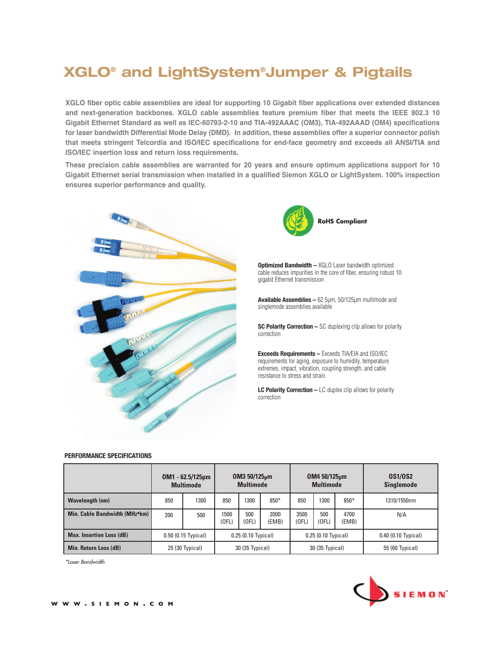# **XGLO® and LightSystem®Jumper & Pigtails**

**XGLO fiber optic cable assemblies are ideal for supporting 10 Gigabit fiber applications over extended distances and next-generation backbones. XGLO cable assemblies feature premium fiber that meets the IEEE 802.3 10 Gigabit Ethernet Standard as well as IEC-60793-2-10 and TIA-492AAAC (OM3), TIA-492AAAD (OM4) specifications for laser bandwidth Differential Mode Delay (DMD). In addition, these assemblies offer a superior connector polish that meets stringent Telcordia and ISO/IEC specifications for end-face geometry and exceeds all ANSI/TIA and ISO/IEC insertion loss and return loss requirements.**

**These precision cable assemblies are warranted for 20 years and ensure optimum applications support for 10 Gigabit Ethernet serial transmission when installed in a qualified Siemon XGLO or LightSystem. 100% inspection ensures superior performance and quality.** 





**Optimized Bandwidth –** XGLO Laser bandwidth optimized cable reduces impurities in the core of fiber, ensuring robust 10 gigabit Ethernet transmission

**Available Assemblies –** 62.5µm, 50/125µm multimode and singlemode assemblies available

**SC Polarity Correction –** SC duplexing clip allows for polarity correction

**Exceeds Requirements –** Exceeds TIA/EIA and ISO/IEC requirements for aging, exposure to humidity, temperature extremes, impact, vibration, coupling strength, and cable resistance to stress and strain

**LC Polarity Correction –** LC duplex clip allows for polarity correction

#### **PERFORMANCE SPECIFICATIONS**

|                                      |     | $OM1 - 62.5/125 \mu m$<br><b>Multimode</b> |               | 0M3 50/125um<br><b>Multimode</b> |               |               | OM4 50/125um<br><b>Multimode</b> |               | 0S1/0S2<br><b>Singlemode</b> |
|--------------------------------------|-----|--------------------------------------------|---------------|----------------------------------|---------------|---------------|----------------------------------|---------------|------------------------------|
| <b>Wavelength (nm)</b>               | 850 | 1300                                       | 850           | 1300                             | $850*$        | 850           | 1300                             | $850*$        | 1310/1550nm                  |
| <b>Min. Cable Bandwidth (MHz*km)</b> | 200 | 500                                        | 1500<br>(OFL) | 500<br>(OFL)                     | 2000<br>(EMB) | 3500<br>(OFL) | 500<br>(OFL)                     | 4700<br>(EMB) | N/A                          |
| <b>Max. Insertion Loss (dB)</b>      |     | $0.50$ (0.15 Typical)                      |               | $0.25(0.10)$ Typical)            |               |               | $0.25(0.10)$ Typical)            |               | $0.40$ (0.10 Typical)        |
| <b>Min. Return Loss (dB)</b>         |     | 25 (30 Typical)                            |               | 30 (35 Typical)                  |               |               | 30 (35 Typical)                  |               | 55 (60 Typical)              |

\*Laser Bandwidth